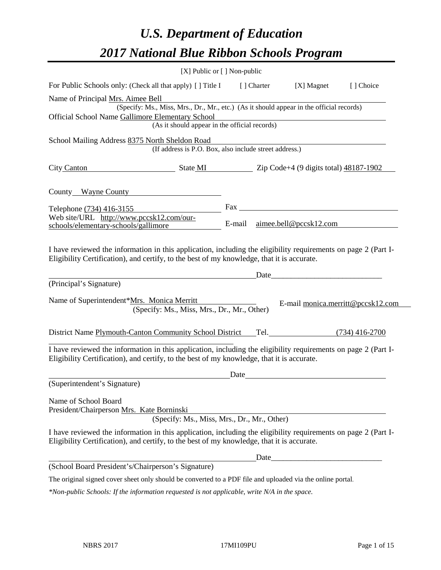# *U.S. Department of Education 2017 National Blue Ribbon Schools Program*

|                                                                                                                                                                                                              | [X] Public or [] Non-public                                                              |      |             |                                                                                                                                                                                                                               |                                   |
|--------------------------------------------------------------------------------------------------------------------------------------------------------------------------------------------------------------|------------------------------------------------------------------------------------------|------|-------------|-------------------------------------------------------------------------------------------------------------------------------------------------------------------------------------------------------------------------------|-----------------------------------|
| For Public Schools only: (Check all that apply) [] Title I                                                                                                                                                   |                                                                                          |      | [ ] Charter | [X] Magnet                                                                                                                                                                                                                    | [] Choice                         |
| Name of Principal Mrs. Aimee Bell                                                                                                                                                                            |                                                                                          |      |             |                                                                                                                                                                                                                               |                                   |
|                                                                                                                                                                                                              | (Specify: Ms., Miss, Mrs., Dr., Mr., etc.) (As it should appear in the official records) |      |             |                                                                                                                                                                                                                               |                                   |
| Official School Name Gallimore Elementary School                                                                                                                                                             |                                                                                          |      |             |                                                                                                                                                                                                                               |                                   |
|                                                                                                                                                                                                              | (As it should appear in the official records)                                            |      |             |                                                                                                                                                                                                                               |                                   |
| School Mailing Address 8375 North Sheldon Road                                                                                                                                                               | (If address is P.O. Box, also include street address.)                                   |      |             |                                                                                                                                                                                                                               |                                   |
| City Canton State MI State MI Zip Code+4 (9 digits total) 48187-1902                                                                                                                                         |                                                                                          |      |             |                                                                                                                                                                                                                               |                                   |
| County Wayne County                                                                                                                                                                                          |                                                                                          |      |             |                                                                                                                                                                                                                               |                                   |
| Telephone (734) 416-3155                                                                                                                                                                                     |                                                                                          |      |             |                                                                                                                                                                                                                               |                                   |
| Web site/URL http://www.pccsk12.com/our-<br>schools/elementary-schools/gallimore                                                                                                                             |                                                                                          |      |             | E-mail aimee.bell@pccsk12.com                                                                                                                                                                                                 |                                   |
| Eligibility Certification), and certify, to the best of my knowledge, that it is accurate.<br>(Principal's Signature)                                                                                        |                                                                                          |      |             | Date and the set of the set of the set of the set of the set of the set of the set of the set of the set of the set of the set of the set of the set of the set of the set of the set of the set of the set of the set of the |                                   |
| Name of Superintendent*Mrs. Monica Merritt                                                                                                                                                                   | (Specify: Ms., Miss, Mrs., Dr., Mr., Other)                                              |      |             |                                                                                                                                                                                                                               | E-mail monica.merritt@pccsk12.com |
| District Name Plymouth-Canton Community School District Tel. (734) 416-2700                                                                                                                                  |                                                                                          |      |             |                                                                                                                                                                                                                               |                                   |
| I have reviewed the information in this application, including the eligibility requirements on page 2 (Part I-<br>Eligibility Certification), and certify, to the best of my knowledge, that it is accurate. |                                                                                          |      |             |                                                                                                                                                                                                                               |                                   |
|                                                                                                                                                                                                              |                                                                                          | Date |             |                                                                                                                                                                                                                               |                                   |
| (Superintendent's Signature)                                                                                                                                                                                 |                                                                                          |      |             |                                                                                                                                                                                                                               |                                   |
| Name of School Board<br>President/Chairperson Mrs. Kate Borninski                                                                                                                                            | (Specify: Ms., Miss, Mrs., Dr., Mr., Other)                                              |      |             |                                                                                                                                                                                                                               |                                   |
| I have reviewed the information in this application, including the eligibility requirements on page 2 (Part I-<br>Eligibility Certification), and certify, to the best of my knowledge, that it is accurate. |                                                                                          |      |             |                                                                                                                                                                                                                               |                                   |
|                                                                                                                                                                                                              |                                                                                          |      |             |                                                                                                                                                                                                                               |                                   |
| (School Board President's/Chairperson's Signature)                                                                                                                                                           |                                                                                          |      |             |                                                                                                                                                                                                                               |                                   |
| The original signed cover sheet only should be converted to a PDF file and uploaded via the online portal.                                                                                                   |                                                                                          |      |             |                                                                                                                                                                                                                               |                                   |
| *Non-public Schools: If the information requested is not applicable, write N/A in the space.                                                                                                                 |                                                                                          |      |             |                                                                                                                                                                                                                               |                                   |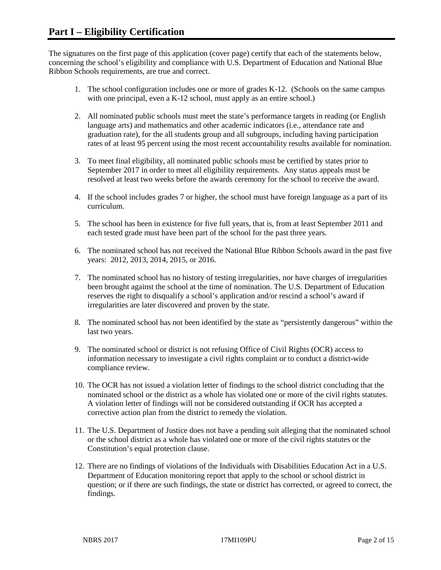The signatures on the first page of this application (cover page) certify that each of the statements below, concerning the school's eligibility and compliance with U.S. Department of Education and National Blue Ribbon Schools requirements, are true and correct.

- 1. The school configuration includes one or more of grades K-12. (Schools on the same campus with one principal, even a K-12 school, must apply as an entire school.)
- 2. All nominated public schools must meet the state's performance targets in reading (or English language arts) and mathematics and other academic indicators (i.e., attendance rate and graduation rate), for the all students group and all subgroups, including having participation rates of at least 95 percent using the most recent accountability results available for nomination.
- 3. To meet final eligibility, all nominated public schools must be certified by states prior to September 2017 in order to meet all eligibility requirements. Any status appeals must be resolved at least two weeks before the awards ceremony for the school to receive the award.
- 4. If the school includes grades 7 or higher, the school must have foreign language as a part of its curriculum.
- 5. The school has been in existence for five full years, that is, from at least September 2011 and each tested grade must have been part of the school for the past three years.
- 6. The nominated school has not received the National Blue Ribbon Schools award in the past five years: 2012, 2013, 2014, 2015, or 2016.
- 7. The nominated school has no history of testing irregularities, nor have charges of irregularities been brought against the school at the time of nomination. The U.S. Department of Education reserves the right to disqualify a school's application and/or rescind a school's award if irregularities are later discovered and proven by the state.
- 8. The nominated school has not been identified by the state as "persistently dangerous" within the last two years.
- 9. The nominated school or district is not refusing Office of Civil Rights (OCR) access to information necessary to investigate a civil rights complaint or to conduct a district-wide compliance review.
- 10. The OCR has not issued a violation letter of findings to the school district concluding that the nominated school or the district as a whole has violated one or more of the civil rights statutes. A violation letter of findings will not be considered outstanding if OCR has accepted a corrective action plan from the district to remedy the violation.
- 11. The U.S. Department of Justice does not have a pending suit alleging that the nominated school or the school district as a whole has violated one or more of the civil rights statutes or the Constitution's equal protection clause.
- 12. There are no findings of violations of the Individuals with Disabilities Education Act in a U.S. Department of Education monitoring report that apply to the school or school district in question; or if there are such findings, the state or district has corrected, or agreed to correct, the findings.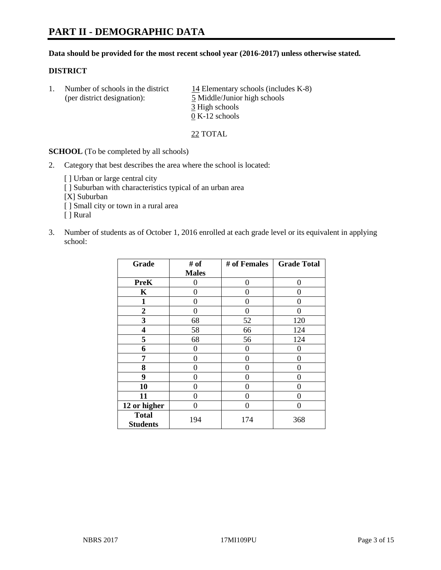#### **Data should be provided for the most recent school year (2016-2017) unless otherwise stated.**

#### **DISTRICT**

1. Number of schools in the district  $14$  Elementary schools (includes K-8) (per district designation): 5 Middle/Junior high schools 3 High schools 0 K-12 schools

22 TOTAL

**SCHOOL** (To be completed by all schools)

- 2. Category that best describes the area where the school is located:
	- [] Urban or large central city [ ] Suburban with characteristics typical of an urban area [X] Suburban [ ] Small city or town in a rural area [ ] Rural
- 3. Number of students as of October 1, 2016 enrolled at each grade level or its equivalent in applying school:

| Grade                           | # of         | # of Females | <b>Grade Total</b> |
|---------------------------------|--------------|--------------|--------------------|
|                                 | <b>Males</b> |              |                    |
| <b>PreK</b>                     | 0            | $\theta$     | 0                  |
| K                               | 0            | 0            | 0                  |
| 1                               | 0            | 0            | 0                  |
| $\overline{2}$                  | 0            | 0            | $\mathbf{\Omega}$  |
| 3                               | 68           | 52           | 120                |
| 4                               | 58           | 66           | 124                |
| 5                               | 68           | 56           | 124                |
| 6                               | 0            | 0            | 0                  |
| 7                               | 0            | 0            | 0                  |
| 8                               | 0            | 0            | 0                  |
| 9                               | 0            | 0            | 0                  |
| 10                              | $\theta$     | 0            | $\Omega$           |
| 11                              | 0            | 0            | $\Omega$           |
| 12 or higher                    | 0            | 0            | 0                  |
| <b>Total</b><br><b>Students</b> | 194          | 174          | 368                |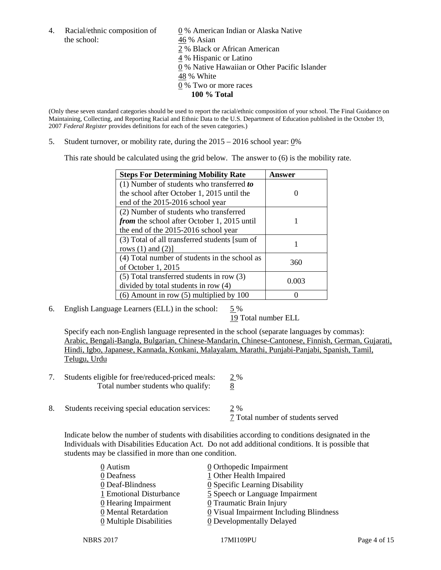the school:  $46\%$  Asian

4. Racial/ethnic composition of  $\qquad \qquad \underline{0}$  % American Indian or Alaska Native 2 % Black or African American 4 % Hispanic or Latino 0 % Native Hawaiian or Other Pacific Islander 48 % White 0 % Two or more races **100 % Total**

(Only these seven standard categories should be used to report the racial/ethnic composition of your school. The Final Guidance on Maintaining, Collecting, and Reporting Racial and Ethnic Data to the U.S. Department of Education published in the October 19, 2007 *Federal Register* provides definitions for each of the seven categories.)

5. Student turnover, or mobility rate, during the 2015 – 2016 school year: 0%

This rate should be calculated using the grid below. The answer to (6) is the mobility rate.

| <b>Steps For Determining Mobility Rate</b>         | Answer |  |
|----------------------------------------------------|--------|--|
| (1) Number of students who transferred to          |        |  |
| the school after October 1, 2015 until the         |        |  |
| end of the 2015-2016 school year                   |        |  |
| (2) Number of students who transferred             |        |  |
| <i>from</i> the school after October 1, 2015 until |        |  |
| the end of the 2015-2016 school year               |        |  |
| (3) Total of all transferred students [sum of      |        |  |
| rows $(1)$ and $(2)$ ]                             |        |  |
| (4) Total number of students in the school as      | 360    |  |
| of October 1, 2015                                 |        |  |
| (5) Total transferred students in row (3)          |        |  |
| divided by total students in row (4)               | 0.003  |  |
| $(6)$ Amount in row $(5)$ multiplied by 100        |        |  |

6. English Language Learners (ELL) in the school:  $5\%$ 

19 Total number ELL

Specify each non-English language represented in the school (separate languages by commas): Arabic, Bengali-Bangla, Bulgarian, Chinese-Mandarin, Chinese-Cantonese, Finnish, German, Gujarati, Hindi, Igbo, Japanese, Kannada, Konkani, Malayalam, Marathi, Punjabi-Panjabi, Spanish, Tamil, Telugu, Urdu

- 7. Students eligible for free/reduced-priced meals:  $\frac{2\%}{8}$ <br>Total number students who qualify:  $\frac{2\%}{8}$ Total number students who qualify:
- 8. Students receiving special education services: 2 %

7 Total number of students served

Indicate below the number of students with disabilities according to conditions designated in the Individuals with Disabilities Education Act. Do not add additional conditions. It is possible that students may be classified in more than one condition.

| 0 Autism                | $\underline{0}$ Orthopedic Impairment                 |
|-------------------------|-------------------------------------------------------|
| 0 Deafness              | 1 Other Health Impaired                               |
| 0 Deaf-Blindness        | 0 Specific Learning Disability                        |
| 1 Emotional Disturbance | 5 Speech or Language Impairment                       |
| $0$ Hearing Impairment  | <b>0</b> Traumatic Brain Injury                       |
| 0 Mental Retardation    | $\underline{0}$ Visual Impairment Including Blindness |
| 0 Multiple Disabilities | 0 Developmentally Delayed                             |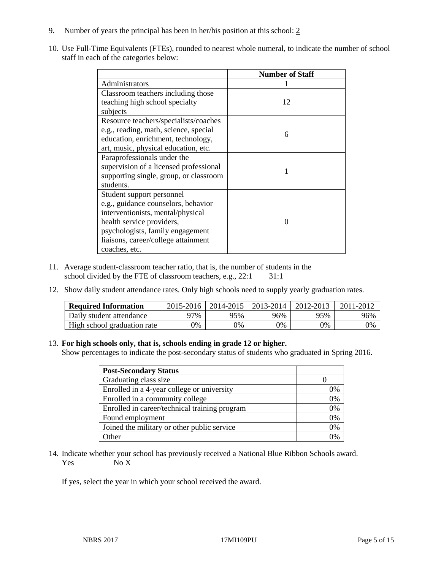- 9. Number of years the principal has been in her/his position at this school: 2
- 10. Use Full-Time Equivalents (FTEs), rounded to nearest whole numeral, to indicate the number of school staff in each of the categories below:

|                                        | <b>Number of Staff</b> |  |  |
|----------------------------------------|------------------------|--|--|
| Administrators                         |                        |  |  |
| Classroom teachers including those     |                        |  |  |
| teaching high school specialty         | 12                     |  |  |
| subjects                               |                        |  |  |
| Resource teachers/specialists/coaches  |                        |  |  |
| e.g., reading, math, science, special  | 6                      |  |  |
| education, enrichment, technology,     |                        |  |  |
| art, music, physical education, etc.   |                        |  |  |
| Paraprofessionals under the            |                        |  |  |
| supervision of a licensed professional |                        |  |  |
| supporting single, group, or classroom |                        |  |  |
| students.                              |                        |  |  |
| Student support personnel              |                        |  |  |
| e.g., guidance counselors, behavior    |                        |  |  |
| interventionists, mental/physical      |                        |  |  |
| health service providers,              |                        |  |  |
| psychologists, family engagement       |                        |  |  |
| liaisons, career/college attainment    |                        |  |  |
| coaches, etc.                          |                        |  |  |

- 11. Average student-classroom teacher ratio, that is, the number of students in the school divided by the FTE of classroom teachers, e.g.,  $22:1$   $31:1$
- 12. Show daily student attendance rates. Only high schools need to supply yearly graduation rates.

| <b>Required Information</b> | 2015-2016 | 2014-2015 | 2013-2014 | 2012-2013 | 2011-2012 |
|-----------------------------|-----------|-----------|-----------|-----------|-----------|
| Daily student attendance    | 97%       | 95%       | 96%       | 95%       | 96%       |
| High school graduation rate | 0%        | 0%        | 0%        | 9%        | 0%        |

#### 13. **For high schools only, that is, schools ending in grade 12 or higher.**

Show percentages to indicate the post-secondary status of students who graduated in Spring 2016.

| <b>Post-Secondary Status</b>                  |    |
|-----------------------------------------------|----|
| Graduating class size                         |    |
| Enrolled in a 4-year college or university    | 0% |
| Enrolled in a community college               | 0% |
| Enrolled in career/technical training program | 0% |
| Found employment                              | 0% |
| Joined the military or other public service   | 0% |
| Other                                         |    |

14. Indicate whether your school has previously received a National Blue Ribbon Schools award.  $Yes$  No  $X$ 

If yes, select the year in which your school received the award.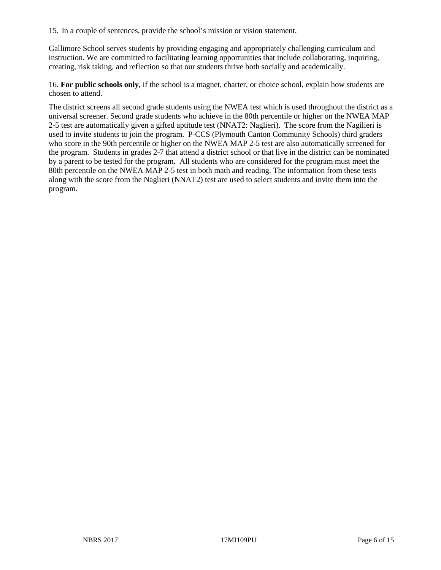15. In a couple of sentences, provide the school's mission or vision statement.

Gallimore School serves students by providing engaging and appropriately challenging curriculum and instruction. We are committed to facilitating learning opportunities that include collaborating, inquiring, creating, risk taking, and reflection so that our students thrive both socially and academically.

16. **For public schools only**, if the school is a magnet, charter, or choice school, explain how students are chosen to attend.

The district screens all second grade students using the NWEA test which is used throughout the district as a universal screener. Second grade students who achieve in the 80th percentile or higher on the NWEA MAP 2-5 test are automatically given a gifted aptitude test (NNAT2: Naglieri). The score from the Nagilieri is used to invite students to join the program. P-CCS (Plymouth Canton Community Schools) third graders who score in the 90th percentile or higher on the NWEA MAP 2-5 test are also automatically screened for the program. Students in grades 2-7 that attend a district school or that live in the district can be nominated by a parent to be tested for the program. All students who are considered for the program must meet the 80th percentile on the NWEA MAP 2-5 test in both math and reading. The information from these tests along with the score from the Naglieri (NNAT2) test are used to select students and invite them into the program.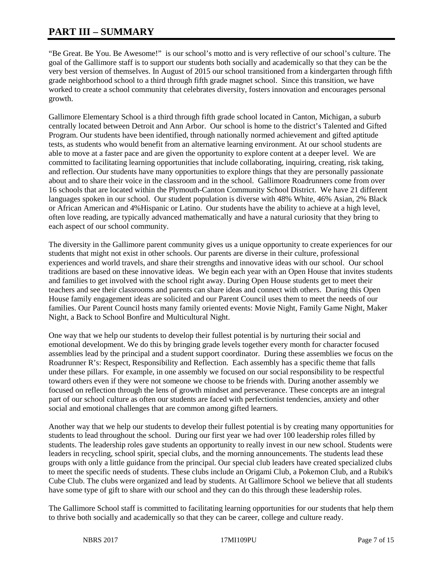## **PART III – SUMMARY**

"Be Great. Be You. Be Awesome!" is our school's motto and is very reflective of our school's culture. The goal of the Gallimore staff is to support our students both socially and academically so that they can be the very best version of themselves. In August of 2015 our school transitioned from a kindergarten through fifth grade neighborhood school to a third through fifth grade magnet school. Since this transition, we have worked to create a school community that celebrates diversity, fosters innovation and encourages personal growth.

Gallimore Elementary School is a third through fifth grade school located in Canton, Michigan, a suburb centrally located between Detroit and Ann Arbor. Our school is home to the district's Talented and Gifted Program. Our students have been identified, through nationally normed achievement and gifted aptitude tests, as students who would benefit from an alternative learning environment. At our school students are able to move at a faster pace and are given the opportunity to explore content at a deeper level. We are committed to facilitating learning opportunities that include collaborating, inquiring, creating, risk taking, and reflection. Our students have many opportunities to explore things that they are personally passionate about and to share their voice in the classroom and in the school. Gallimore Roadrunners come from over 16 schools that are located within the Plymouth-Canton Community School District. We have 21 different languages spoken in our school. Our student population is diverse with 48% White, 46% Asian, 2% Black or African American and 4%Hispanic or Latino. Our students have the ability to achieve at a high level, often love reading, are typically advanced mathematically and have a natural curiosity that they bring to each aspect of our school community.

The diversity in the Gallimore parent community gives us a unique opportunity to create experiences for our students that might not exist in other schools. Our parents are diverse in their culture, professional experiences and world travels, and share their strengths and innovative ideas with our school. Our school traditions are based on these innovative ideas. We begin each year with an Open House that invites students and families to get involved with the school right away. During Open House students get to meet their teachers and see their classrooms and parents can share ideas and connect with others. During this Open House family engagement ideas are solicited and our Parent Council uses them to meet the needs of our families. Our Parent Council hosts many family oriented events: Movie Night, Family Game Night, Maker Night, a Back to School Bonfire and Multicultural Night.

One way that we help our students to develop their fullest potential is by nurturing their social and emotional development. We do this by bringing grade levels together every month for character focused assemblies lead by the principal and a student support coordinator. During these assemblies we focus on the Roadrunner R's: Respect, Responsibility and Reflection. Each assembly has a specific theme that falls under these pillars. For example, in one assembly we focused on our social responsibility to be respectful toward others even if they were not someone we choose to be friends with. During another assembly we focused on reflection through the lens of growth mindset and perseverance. These concepts are an integral part of our school culture as often our students are faced with perfectionist tendencies, anxiety and other social and emotional challenges that are common among gifted learners.

Another way that we help our students to develop their fullest potential is by creating many opportunities for students to lead throughout the school. During our first year we had over 100 leadership roles filled by students. The leadership roles gave students an opportunity to really invest in our new school. Students were leaders in recycling, school spirit, special clubs, and the morning announcements. The students lead these groups with only a little guidance from the principal. Our special club leaders have created specialized clubs to meet the specific needs of students. These clubs include an Origami Club, a Pokemon Club, and a Rubik's Cube Club. The clubs were organized and lead by students. At Gallimore School we believe that all students have some type of gift to share with our school and they can do this through these leadership roles.

The Gallimore School staff is committed to facilitating learning opportunities for our students that help them to thrive both socially and academically so that they can be career, college and culture ready.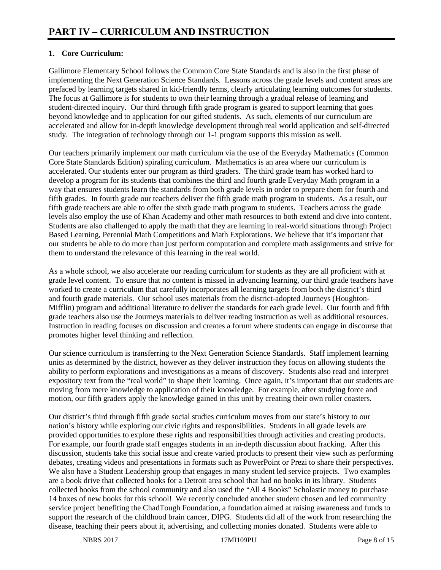## **1. Core Curriculum:**

Gallimore Elementary School follows the Common Core State Standards and is also in the first phase of implementing the Next Generation Science Standards. Lessons across the grade levels and content areas are prefaced by learning targets shared in kid-friendly terms, clearly articulating learning outcomes for students. The focus at Gallimore is for students to own their learning through a gradual release of learning and student-directed inquiry. Our third through fifth grade program is geared to support learning that goes beyond knowledge and to application for our gifted students. As such, elements of our curriculum are accelerated and allow for in-depth knowledge development through real world application and self-directed study. The integration of technology through our 1-1 program supports this mission as well.

Our teachers primarily implement our math curriculum via the use of the Everyday Mathematics (Common Core State Standards Edition) spiraling curriculum. Mathematics is an area where our curriculum is accelerated. Our students enter our program as third graders. The third grade team has worked hard to develop a program for its students that combines the third and fourth grade Everyday Math program in a way that ensures students learn the standards from both grade levels in order to prepare them for fourth and fifth grades. In fourth grade our teachers deliver the fifth grade math program to students. As a result, our fifth grade teachers are able to offer the sixth grade math program to students. Teachers across the grade levels also employ the use of Khan Academy and other math resources to both extend and dive into content. Students are also challenged to apply the math that they are learning in real-world situations through Project Based Learning, Perennial Math Competitions and Math Explorations. We believe that it's important that our students be able to do more than just perform computation and complete math assignments and strive for them to understand the relevance of this learning in the real world.

As a whole school, we also accelerate our reading curriculum for students as they are all proficient with at grade level content. To ensure that no content is missed in advancing learning, our third grade teachers have worked to create a curriculum that carefully incorporates all learning targets from both the district's third and fourth grade materials. Our school uses materials from the district-adopted Journeys (Houghton-Mifflin) program and additional literature to deliver the standards for each grade level. Our fourth and fifth grade teachers also use the Journeys materials to deliver reading instruction as well as additional resources. Instruction in reading focuses on discussion and creates a forum where students can engage in discourse that promotes higher level thinking and reflection.

Our science curriculum is transferring to the Next Generation Science Standards. Staff implement learning units as determined by the district, however as they deliver instruction they focus on allowing students the ability to perform explorations and investigations as a means of discovery. Students also read and interpret expository text from the "real world" to shape their learning. Once again, it's important that our students are moving from mere knowledge to application of their knowledge. For example, after studying force and motion, our fifth graders apply the knowledge gained in this unit by creating their own roller coasters.

Our district's third through fifth grade social studies curriculum moves from our state's history to our nation's history while exploring our civic rights and responsibilities. Students in all grade levels are provided opportunities to explore these rights and responsibilities through activities and creating products. For example, our fourth grade staff engages students in an in-depth discussion about fracking. After this discussion, students take this social issue and create varied products to present their view such as performing debates, creating videos and presentations in formats such as PowerPoint or Prezi to share their perspectives. We also have a Student Leadership group that engages in many student led service projects. Two examples are a book drive that collected books for a Detroit area school that had no books in its library. Students collected books from the school community and also used the "All 4 Books" Scholastic money to purchase 14 boxes of new books for this school! We recently concluded another student chosen and led community service project benefiting the ChadTough Foundation, a foundation aimed at raising awareness and funds to support the research of the childhood brain cancer, DIPG. Students did all of the work from researching the disease, teaching their peers about it, advertising, and collecting monies donated. Students were able to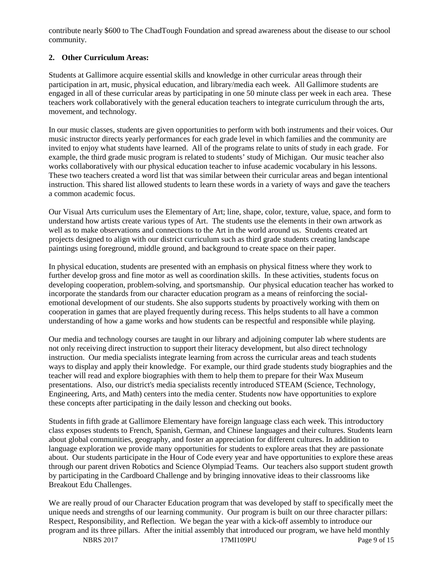contribute nearly \$600 to The ChadTough Foundation and spread awareness about the disease to our school community.

### **2. Other Curriculum Areas:**

Students at Gallimore acquire essential skills and knowledge in other curricular areas through their participation in art, music, physical education, and library/media each week. All Gallimore students are engaged in all of these curricular areas by participating in one 50 minute class per week in each area. These teachers work collaboratively with the general education teachers to integrate curriculum through the arts, movement, and technology.

In our music classes, students are given opportunities to perform with both instruments and their voices. Our music instructor directs yearly performances for each grade level in which families and the community are invited to enjoy what students have learned. All of the programs relate to units of study in each grade. For example, the third grade music program is related to students' study of Michigan. Our music teacher also works collaboratively with our physical education teacher to infuse academic vocabulary in his lessons. These two teachers created a word list that was similar between their curricular areas and began intentional instruction. This shared list allowed students to learn these words in a variety of ways and gave the teachers a common academic focus.

Our Visual Arts curriculum uses the Elementary of Art; line, shape, color, texture, value, space, and form to understand how artists create various types of Art. The students use the elements in their own artwork as well as to make observations and connections to the Art in the world around us. Students created art projects designed to align with our district curriculum such as third grade students creating landscape paintings using foreground, middle ground, and background to create space on their paper.

In physical education, students are presented with an emphasis on physical fitness where they work to further develop gross and fine motor as well as coordination skills. In these activities, students focus on developing cooperation, problem-solving, and sportsmanship. Our physical education teacher has worked to incorporate the standards from our character education program as a means of reinforcing the socialemotional development of our students. She also supports students by proactively working with them on cooperation in games that are played frequently during recess. This helps students to all have a common understanding of how a game works and how students can be respectful and responsible while playing.

Our media and technology courses are taught in our library and adjoining computer lab where students are not only receiving direct instruction to support their literacy development, but also direct technology instruction. Our media specialists integrate learning from across the curricular areas and teach students ways to display and apply their knowledge. For example, our third grade students study biographies and the teacher will read and explore biographies with them to help them to prepare for their Wax Museum presentations. Also, our district's media specialists recently introduced STEAM (Science, Technology, Engineering, Arts, and Math) centers into the media center. Students now have opportunities to explore these concepts after participating in the daily lesson and checking out books.

Students in fifth grade at Gallimore Elementary have foreign language class each week. This introductory class exposes students to French, Spanish, German, and Chinese languages and their cultures. Students learn about global communities, geography, and foster an appreciation for different cultures. In addition to language exploration we provide many opportunities for students to explore areas that they are passionate about. Our students participate in the Hour of Code every year and have opportunities to explore these areas through our parent driven Robotics and Science Olympiad Teams. Our teachers also support student growth by participating in the Cardboard Challenge and by bringing innovative ideas to their classrooms like Breakout Edu Challenges.

We are really proud of our Character Education program that was developed by staff to specifically meet the unique needs and strengths of our learning community. Our program is built on our three character pillars: Respect, Responsibility, and Reflection. We began the year with a kick-off assembly to introduce our program and its three pillars. After the initial assembly that introduced our program, we have held monthly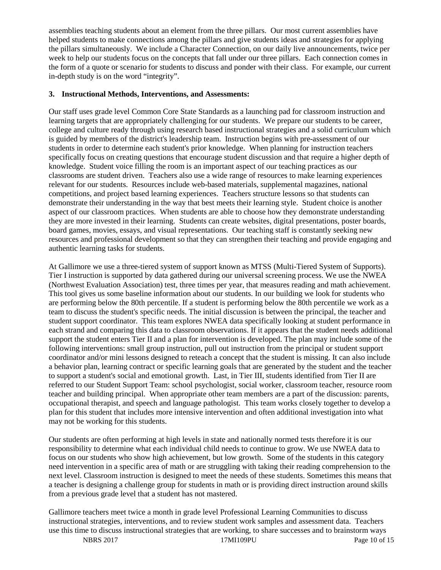assemblies teaching students about an element from the three pillars. Our most current assemblies have helped students to make connections among the pillars and give students ideas and strategies for applying the pillars simultaneously. We include a Character Connection, on our daily live announcements, twice per week to help our students focus on the concepts that fall under our three pillars. Each connection comes in the form of a quote or scenario for students to discuss and ponder with their class. For example, our current in-depth study is on the word "integrity".

#### **3. Instructional Methods, Interventions, and Assessments:**

Our staff uses grade level Common Core State Standards as a launching pad for classroom instruction and learning targets that are appropriately challenging for our students. We prepare our students to be career, college and culture ready through using research based instructional strategies and a solid curriculum which is guided by members of the district's leadership team. Instruction begins with pre-assessment of our students in order to determine each student's prior knowledge. When planning for instruction teachers specifically focus on creating questions that encourage student discussion and that require a higher depth of knowledge. Student voice filling the room is an important aspect of our teaching practices as our classrooms are student driven. Teachers also use a wide range of resources to make learning experiences relevant for our students. Resources include web-based materials, supplemental magazines, national competitions, and project based learning experiences. Teachers structure lessons so that students can demonstrate their understanding in the way that best meets their learning style. Student choice is another aspect of our classroom practices. When students are able to choose how they demonstrate understanding they are more invested in their learning. Students can create websites, digital presentations, poster boards, board games, movies, essays, and visual representations. Our teaching staff is constantly seeking new resources and professional development so that they can strengthen their teaching and provide engaging and authentic learning tasks for students.

At Gallimore we use a three-tiered system of support known as MTSS (Multi-Tiered System of Supports). Tier I instruction is supported by data gathered during our universal screening process. We use the NWEA (Northwest Evaluation Association) test, three times per year, that measures reading and math achievement. This tool gives us some baseline information about our students. In our building we look for students who are performing below the 80th percentile. If a student is performing below the 80th percentile we work as a team to discuss the student's specific needs. The initial discussion is between the principal, the teacher and student support coordinator. This team explores NWEA data specifically looking at student performance in each strand and comparing this data to classroom observations. If it appears that the student needs additional support the student enters Tier II and a plan for intervention is developed. The plan may include some of the following interventions: small group instruction, pull out instruction from the principal or student support coordinator and/or mini lessons designed to reteach a concept that the student is missing. It can also include a behavior plan, learning contract or specific learning goals that are generated by the student and the teacher to support a student's social and emotional growth. Last, in Tier III, students identified from Tier II are referred to our Student Support Team: school psychologist, social worker, classroom teacher, resource room teacher and building principal. When appropriate other team members are a part of the discussion: parents, occupational therapist, and speech and language pathologist. This team works closely together to develop a plan for this student that includes more intensive intervention and often additional investigation into what may not be working for this students.

Our students are often performing at high levels in state and nationally normed tests therefore it is our responsibility to determine what each individual child needs to continue to grow. We use NWEA data to focus on our students who show high achievement, but low growth. Some of the students in this category need intervention in a specific area of math or are struggling with taking their reading comprehension to the next level. Classroom instruction is designed to meet the needs of these students. Sometimes this means that a teacher is designing a challenge group for students in math or is providing direct instruction around skills from a previous grade level that a student has not mastered.

Gallimore teachers meet twice a month in grade level Professional Learning Communities to discuss instructional strategies, interventions, and to review student work samples and assessment data. Teachers use this time to discuss instructional strategies that are working, to share successes and to brainstorm ways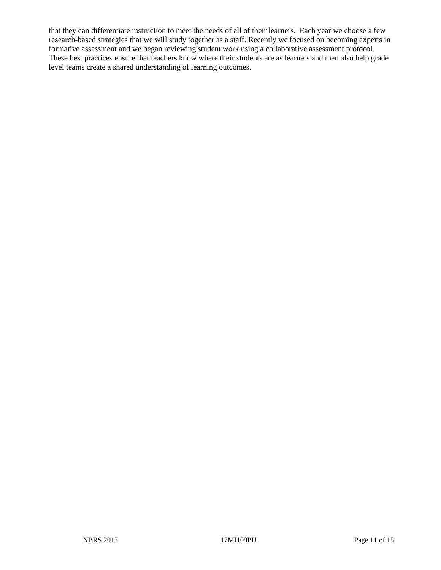that they can differentiate instruction to meet the needs of all of their learners. Each year we choose a few research-based strategies that we will study together as a staff. Recently we focused on becoming experts in formative assessment and we began reviewing student work using a collaborative assessment protocol. These best practices ensure that teachers know where their students are as learners and then also help grade level teams create a shared understanding of learning outcomes.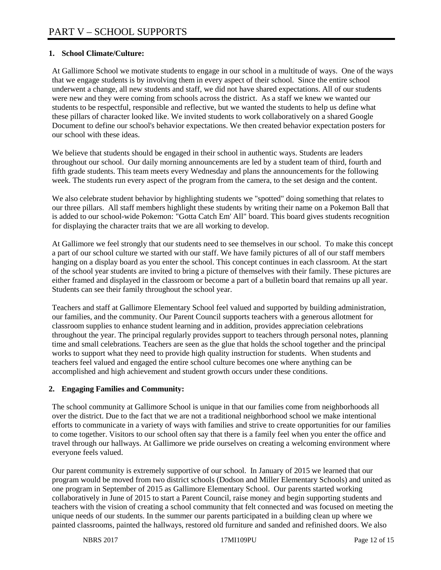#### **1. School Climate/Culture:**

At Gallimore School we motivate students to engage in our school in a multitude of ways. One of the ways that we engage students is by involving them in every aspect of their school. Since the entire school underwent a change, all new students and staff, we did not have shared expectations. All of our students were new and they were coming from schools across the district. As a staff we knew we wanted our students to be respectful, responsible and reflective, but we wanted the students to help us define what these pillars of character looked like. We invited students to work collaboratively on a shared Google Document to define our school's behavior expectations. We then created behavior expectation posters for our school with these ideas.

We believe that students should be engaged in their school in authentic ways. Students are leaders throughout our school. Our daily morning announcements are led by a student team of third, fourth and fifth grade students. This team meets every Wednesday and plans the announcements for the following week. The students run every aspect of the program from the camera, to the set design and the content.

We also celebrate student behavior by highlighting students we "spotted" doing something that relates to our three pillars. All staff members highlight these students by writing their name on a Pokemon Ball that is added to our school-wide Pokemon: "Gotta Catch Em' All" board. This board gives students recognition for displaying the character traits that we are all working to develop.

At Gallimore we feel strongly that our students need to see themselves in our school. To make this concept a part of our school culture we started with our staff. We have family pictures of all of our staff members hanging on a display board as you enter the school. This concept continues in each classroom. At the start of the school year students are invited to bring a picture of themselves with their family. These pictures are either framed and displayed in the classroom or become a part of a bulletin board that remains up all year. Students can see their family throughout the school year.

Teachers and staff at Gallimore Elementary School feel valued and supported by building administration, our families, and the community. Our Parent Council supports teachers with a generous allotment for classroom supplies to enhance student learning and in addition, provides appreciation celebrations throughout the year. The principal regularly provides support to teachers through personal notes, planning time and small celebrations. Teachers are seen as the glue that holds the school together and the principal works to support what they need to provide high quality instruction for students. When students and teachers feel valued and engaged the entire school culture becomes one where anything can be accomplished and high achievement and student growth occurs under these conditions.

#### **2. Engaging Families and Community:**

The school community at Gallimore School is unique in that our families come from neighborhoods all over the district. Due to the fact that we are not a traditional neighborhood school we make intentional efforts to communicate in a variety of ways with families and strive to create opportunities for our families to come together. Visitors to our school often say that there is a family feel when you enter the office and travel through our hallways. At Gallimore we pride ourselves on creating a welcoming environment where everyone feels valued.

Our parent community is extremely supportive of our school. In January of 2015 we learned that our program would be moved from two district schools (Dodson and Miller Elementary Schools) and united as one program in September of 2015 as Gallimore Elementary School. Our parents started working collaboratively in June of 2015 to start a Parent Council, raise money and begin supporting students and teachers with the vision of creating a school community that felt connected and was focused on meeting the unique needs of our students. In the summer our parents participated in a building clean up where we painted classrooms, painted the hallways, restored old furniture and sanded and refinished doors. We also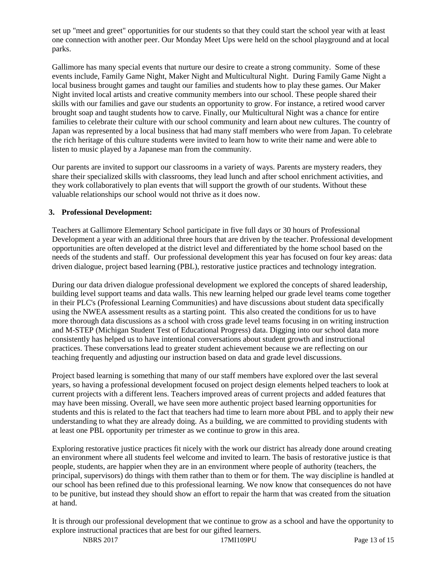set up "meet and greet" opportunities for our students so that they could start the school year with at least one connection with another peer. Our Monday Meet Ups were held on the school playground and at local parks.

Gallimore has many special events that nurture our desire to create a strong community. Some of these events include, Family Game Night, Maker Night and Multicultural Night. During Family Game Night a local business brought games and taught our families and students how to play these games. Our Maker Night invited local artists and creative community members into our school. These people shared their skills with our families and gave our students an opportunity to grow. For instance, a retired wood carver brought soap and taught students how to carve. Finally, our Multicultural Night was a chance for entire families to celebrate their culture with our school community and learn about new cultures. The country of Japan was represented by a local business that had many staff members who were from Japan. To celebrate the rich heritage of this culture students were invited to learn how to write their name and were able to listen to music played by a Japanese man from the community.

Our parents are invited to support our classrooms in a variety of ways. Parents are mystery readers, they share their specialized skills with classrooms, they lead lunch and after school enrichment activities, and they work collaboratively to plan events that will support the growth of our students. Without these valuable relationships our school would not thrive as it does now.

#### **3. Professional Development:**

Teachers at Gallimore Elementary School participate in five full days or 30 hours of Professional Development a year with an additional three hours that are driven by the teacher. Professional development opportunities are often developed at the district level and differentiated by the home school based on the needs of the students and staff. Our professional development this year has focused on four key areas: data driven dialogue, project based learning (PBL), restorative justice practices and technology integration.

During our data driven dialogue professional development we explored the concepts of shared leadership, building level support teams and data walls. This new learning helped our grade level teams come together in their PLC's (Professional Learning Communities) and have discussions about student data specifically using the NWEA assessment results as a starting point. This also created the conditions for us to have more thorough data discussions as a school with cross grade level teams focusing in on writing instruction and M-STEP (Michigan Student Test of Educational Progress) data. Digging into our school data more consistently has helped us to have intentional conversations about student growth and instructional practices. These conversations lead to greater student achievement because we are reflecting on our teaching frequently and adjusting our instruction based on data and grade level discussions.

Project based learning is something that many of our staff members have explored over the last several years, so having a professional development focused on project design elements helped teachers to look at current projects with a different lens. Teachers improved areas of current projects and added features that may have been missing. Overall, we have seen more authentic project based learning opportunities for students and this is related to the fact that teachers had time to learn more about PBL and to apply their new understanding to what they are already doing. As a building, we are committed to providing students with at least one PBL opportunity per trimester as we continue to grow in this area.

Exploring restorative justice practices fit nicely with the work our district has already done around creating an environment where all students feel welcome and invited to learn. The basis of restorative justice is that people, students, are happier when they are in an environment where people of authority (teachers, the principal, supervisors) do things with them rather than to them or for them. The way discipline is handled at our school has been refined due to this professional learning. We now know that consequences do not have to be punitive, but instead they should show an effort to repair the harm that was created from the situation at hand.

It is through our professional development that we continue to grow as a school and have the opportunity to explore instructional practices that are best for our gifted learners.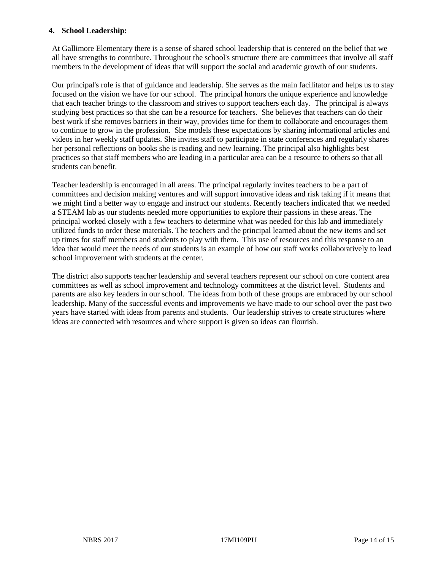#### **4. School Leadership:**

At Gallimore Elementary there is a sense of shared school leadership that is centered on the belief that we all have strengths to contribute. Throughout the school's structure there are committees that involve all staff members in the development of ideas that will support the social and academic growth of our students.

Our principal's role is that of guidance and leadership. She serves as the main facilitator and helps us to stay focused on the vision we have for our school. The principal honors the unique experience and knowledge that each teacher brings to the classroom and strives to support teachers each day. The principal is always studying best practices so that she can be a resource for teachers. She believes that teachers can do their best work if she removes barriers in their way, provides time for them to collaborate and encourages them to continue to grow in the profession. She models these expectations by sharing informational articles and videos in her weekly staff updates. She invites staff to participate in state conferences and regularly shares her personal reflections on books she is reading and new learning. The principal also highlights best practices so that staff members who are leading in a particular area can be a resource to others so that all students can benefit.

Teacher leadership is encouraged in all areas. The principal regularly invites teachers to be a part of committees and decision making ventures and will support innovative ideas and risk taking if it means that we might find a better way to engage and instruct our students. Recently teachers indicated that we needed a STEAM lab as our students needed more opportunities to explore their passions in these areas. The principal worked closely with a few teachers to determine what was needed for this lab and immediately utilized funds to order these materials. The teachers and the principal learned about the new items and set up times for staff members and students to play with them. This use of resources and this response to an idea that would meet the needs of our students is an example of how our staff works collaboratively to lead school improvement with students at the center.

The district also supports teacher leadership and several teachers represent our school on core content area committees as well as school improvement and technology committees at the district level. Students and parents are also key leaders in our school. The ideas from both of these groups are embraced by our school leadership. Many of the successful events and improvements we have made to our school over the past two years have started with ideas from parents and students. Our leadership strives to create structures where ideas are connected with resources and where support is given so ideas can flourish.